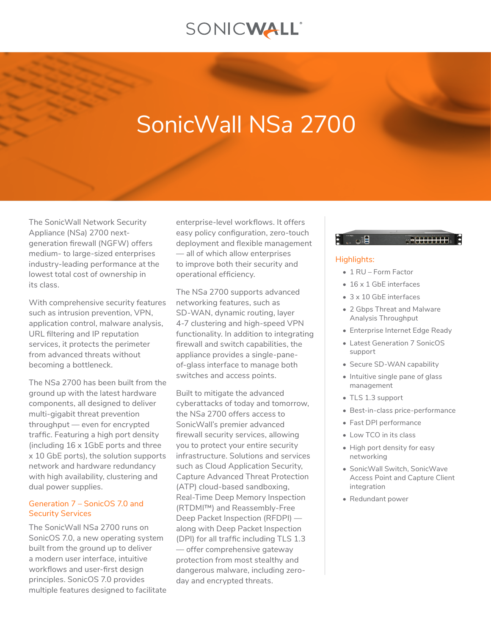## SONICWALL®

# SonicWall NS*a* 2700

The SonicWall Network Security Appliance (NS*a*) 2700 nextgeneration firewall (NGFW) offers medium- to large-sized enterprises industry-leading performance at the lowest total cost of ownership in its class.

With comprehensive security features such as intrusion prevention, VPN, application control, malware analysis, URL filtering and IP reputation services, it protects the perimeter from advanced threats without becoming a bottleneck.

The NS*a* 2700 has been built from the ground up with the latest hardware components, all designed to deliver multi-gigabit threat prevention throughput — even for encrypted traffic. Featuring a high port density (including 16 x 1GbE ports and three x 10 GbE ports), the solution supports network and hardware redundancy with high availability, clustering and dual power supplies.

## Generation 7 – SonicOS 7.0 and Security Services

The SonicWall NS*a* 2700 runs on SonicOS 7.0, a new operating system built from the ground up to deliver a modern user interface, intuitive workflows and user-first design principles. SonicOS 7.0 provides multiple features designed to facilitate

enterprise-level workflows. It offers easy policy configuration, zero-touch deployment and flexible management — all of which allow enterprises to improve both their security and operational efficiency.

The NS*a* 2700 supports advanced networking features, such as SD-WAN, dynamic routing, layer 4-7 clustering and high-speed VPN functionality. In addition to integrating firewall and switch capabilities, the appliance provides a single-paneof-glass interface to manage both switches and access points.

Built to mitigate the advanced cyberattacks of today and tomorrow, the NS*a* 2700 offers access to SonicWall's premier advanced firewall security services, allowing you to protect your entire security infrastructure. Solutions and services such as Cloud Application Security, Capture Advanced Threat Protection (ATP) cloud-based sandboxing, Real-Time Deep Memory Inspection (RTDMI™) and Reassembly-Free Deep Packet Inspection (RFDPI) along with Deep Packet Inspection (DPI) for all traffic including TLS 1.3 — offer comprehensive gateway protection from most stealthy and dangerous malware, including zeroday and encrypted threats.

## PI TAIH

## Highlights:

- 1 RU Form Factor
- 16 x 1 GbF interfaces
- 3 x 10 GbE interfaces
- 2 Gbps Threat and Malware Analysis Throughput
- Enterprise Internet Edge Ready
- Latest Generation 7 SonicOS support
- Secure SD-WAN capability
- Intuitive single pane of glass management
- TLS 1.3 support
- Best-in-class price-performance
- Fast DPI performance
- Low TCO in its class
- High port density for easy networking
- SonicWall Switch, SonicWave Access Point and Capture Client integration
- Redundant power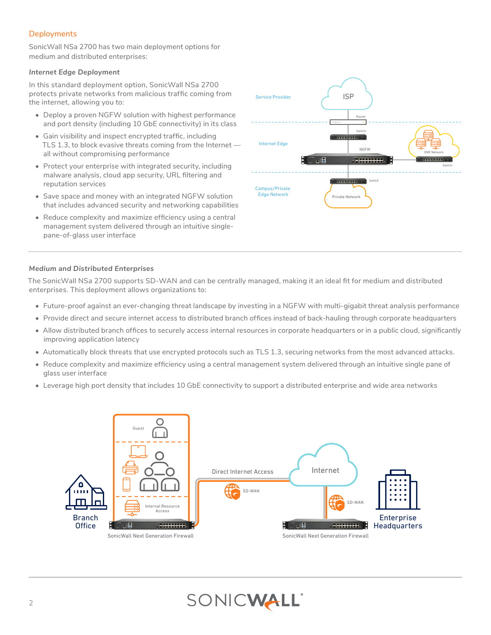## **Deployments**

SonicWall NSa 2700 has two main deployment options for medium and distributed enterprises:

## *Internet Edge Deployment*

In this standard deployment option, SonicWall NS*a* 2700 protects private networks from malicious traffic coming from the internet, allowing you to:

- Deploy a proven NGFW solution with highest performance and port density (including 10 GbE connectivity) in its class
- Gain visibility and inspect encrypted traffic, including TLS 1.3, to block evasive threats coming from the Internet all without compromising performance
- Protect your enterprise with integrated security, including malware analysis, cloud app security, URL filtering and reputation services
- Save space and money with an integrated NGFW solution that includes advanced security and networking capabilities
- Reduce complexity and maximize efficiency using a central management system delivered through an intuitive singlepane-of-glass user interface



## *Medium and Distributed Enterprises*

The SonicWall NS*a* 2700 supports SD-WAN and can be centrally managed, making it an ideal fit for medium and distributed enterprises. This deployment allows organizations to:

- Future-proof against an ever-changing threat landscape by investing in a NGFW with multi-gigabit threat analysis performance
- Provide direct and secure internet access to distributed branch offices instead of back-hauling through corporate headquarters
- Allow distributed branch offices to securely access internal resources in corporate headquarters or in a public cloud, significantly improving application latency
- Automatically block threats that use encrypted protocols such as TLS 1.3, securing networks from the most advanced attacks.
- Reduce complexity and maximize efficiency using a central management system delivered through an intuitive single pane of glass user interface
- Leverage high port density that includes 10 GbE connectivity to support a distributed enterprise and wide area networks



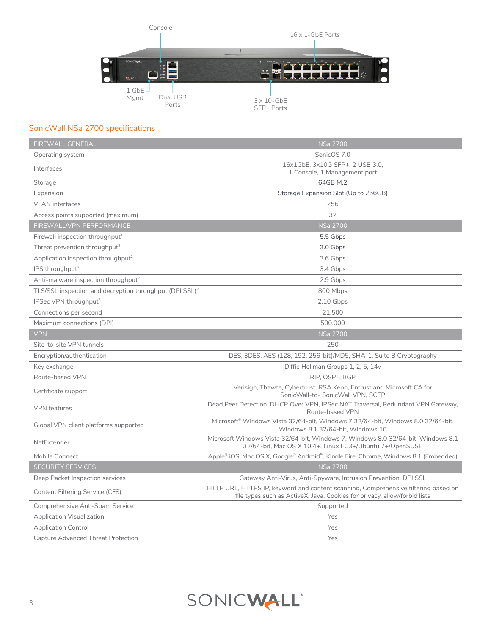

## SonicWall NS*a* 2700 specifications

| <b>FIREWALL GENERAL</b>                                             | <b>NSa 2700</b>                                                                                                                                                 |
|---------------------------------------------------------------------|-----------------------------------------------------------------------------------------------------------------------------------------------------------------|
| Operating system                                                    | SonicOS 7.0                                                                                                                                                     |
| Interfaces                                                          | 16x1GbE, 3x10G SFP+, 2 USB 3.0,<br>1 Console, 1 Management port                                                                                                 |
| Storage                                                             | 64GB M.2                                                                                                                                                        |
| Expansion                                                           | Storage Expansion Slot (Up to 256GB)                                                                                                                            |
| <b>VLAN</b> interfaces                                              | 256                                                                                                                                                             |
| Access points supported (maximum)                                   | 32                                                                                                                                                              |
| FIREWALL/VPN PERFORMANCE                                            | <b>NSa 2700</b>                                                                                                                                                 |
| Firewall inspection throughput <sup>1</sup>                         | 5.5 Gbps                                                                                                                                                        |
| Threat prevention throughput <sup>2</sup>                           | 3.0 Gbps                                                                                                                                                        |
| Application inspection throughput <sup>2</sup>                      | 3.6 Gbps                                                                                                                                                        |
| IPS throughput <sup>2</sup>                                         | 3.4 Gbps                                                                                                                                                        |
| Anti-malware inspection throughput <sup>2</sup>                     | 2.9 Gbps                                                                                                                                                        |
| TLS/SSL inspection and decryption throughput (DPI SSL) <sup>2</sup> | 800 Mbps                                                                                                                                                        |
| IPSec VPN throughput <sup>3</sup>                                   | 2.10 Gbps                                                                                                                                                       |
| Connections per second                                              | 21,500                                                                                                                                                          |
| Maximum connections (DPI)                                           | 500,000                                                                                                                                                         |
| <b>VPN</b>                                                          | <b>NSa 2700</b>                                                                                                                                                 |
| Site-to-site VPN tunnels                                            | 250                                                                                                                                                             |
| Encryption/authentication                                           | DES, 3DES, AES (128, 192, 256-bit)/MD5, SHA-1, Suite B Cryptography                                                                                             |
| Key exchange                                                        | Diffie Hellman Groups 1, 2, 5, 14v                                                                                                                              |
| Route-based VPN                                                     | RIP, OSPF, BGP                                                                                                                                                  |
| Certificate support                                                 | Verisign, Thawte, Cybertrust, RSA Keon, Entrust and Microsoft CA for<br>SonicWall-to-SonicWall VPN, SCEP                                                        |
| <b>VPN</b> features                                                 | Dead Peer Detection, DHCP Over VPN, IPSec NAT Traversal, Redundant VPN Gateway,<br>Route-based VPN                                                              |
| Global VPN client platforms supported                               | Microsoft® Windows Vista 32/64-bit, Windows 7 32/64-bit, Windows 8.0 32/64-bit,<br>Windows 8.1 32/64-bit, Windows 10                                            |
| NetExtender                                                         | Microsoft Windows Vista 32/64-bit, Windows 7, Windows 8.0 32/64-bit, Windows 8.1<br>32/64-bit, Mac OS X 10.4+, Linux FC3+/Ubuntu 7+/OpenSUSE                    |
| Mobile Connect                                                      | Apple® iOS, Mac OS X, Google® Android™, Kindle Fire, Chrome, Windows 8.1 (Embedded)                                                                             |
| <b>SECURITY SERVICES</b>                                            | <b>NSa 2700</b>                                                                                                                                                 |
| Deep Packet Inspection services                                     | Gateway Anti-Virus, Anti-Spyware, Intrusion Prevention, DPI SSL                                                                                                 |
| Content Filtering Service (CFS)                                     | HTTP URL, HTTPS IP, keyword and content scanning, Comprehensive filtering based on<br>file types such as ActiveX, Java, Cookies for privacy, allow/forbid lists |
| Comprehensive Anti-Spam Service                                     | Supported                                                                                                                                                       |
| <b>Application Visualization</b>                                    | Yes                                                                                                                                                             |
| <b>Application Control</b>                                          | Yes                                                                                                                                                             |
| Capture Advanced Threat Protection                                  | Yes                                                                                                                                                             |

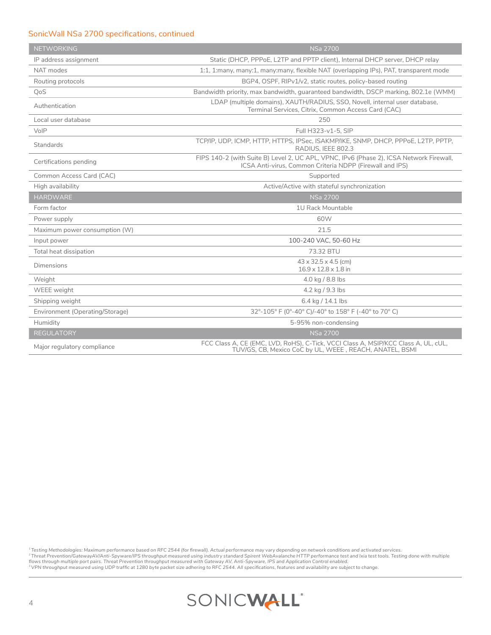## SonicWall NS*a* 2700 specifications, continued

| <b>NETWORKING</b>               | <b>NSa 2700</b>                                                                                                                                     |
|---------------------------------|-----------------------------------------------------------------------------------------------------------------------------------------------------|
| IP address assignment           | Static (DHCP, PPPoE, L2TP and PPTP client), Internal DHCP server, DHCP relay                                                                        |
| NAT modes                       | 1:1, 1:many, many:1, many:many, flexible NAT (overlapping IPs), PAT, transparent mode                                                               |
| Routing protocols               | BGP4, OSPF, RIPv1/v2, static routes, policy-based routing                                                                                           |
| QoS                             | Bandwidth priority, max bandwidth, quaranteed bandwidth, DSCP marking, 802.1e (WMM)                                                                 |
| Authentication                  | LDAP (multiple domains), XAUTH/RADIUS, SSO, Novell, internal user database,<br>Terminal Services, Citrix, Common Access Card (CAC)                  |
| Local user database             | 250                                                                                                                                                 |
| VoIP                            | Full H323-v1-5, SIP                                                                                                                                 |
| Standards                       | TCP/IP, UDP, ICMP, HTTP, HTTPS, IPSec, ISAKMP/IKE, SNMP, DHCP, PPPoE, L2TP, PPTP,<br>RADIUS, IEEE 802.3                                             |
| Certifications pending          | FIPS 140-2 (with Suite B) Level 2, UC APL, VPNC, IPv6 (Phase 2), ICSA Network Firewall,<br>ICSA Anti-virus, Common Criteria NDPP (Firewall and IPS) |
| Common Access Card (CAC)        | Supported                                                                                                                                           |
| High availability               | Active/Active with stateful synchronization                                                                                                         |
| <b>HARDWARE</b>                 | <b>NSa 2700</b>                                                                                                                                     |
| Form factor                     | 1U Rack Mountable                                                                                                                                   |
| Power supply                    | 60W                                                                                                                                                 |
| Maximum power consumption (W)   | 21.5                                                                                                                                                |
| Input power                     | 100-240 VAC, 50-60 Hz                                                                                                                               |
| Total heat dissipation          | 73.32 BTU                                                                                                                                           |
| Dimensions                      | $43 \times 32.5 \times 4.5$ (cm)<br>$16.9 \times 12.8 \times 1.8$ in                                                                                |
| Weight                          | 4.0 kg / 8.8 lbs                                                                                                                                    |
| <b>WEEE</b> weight              | 4.2 kg / 9.3 lbs                                                                                                                                    |
| Shipping weight                 | 6.4 kg / 14.1 lbs                                                                                                                                   |
| Environment (Operating/Storage) | 32°-105° F (0°-40° C)/-40° to 158° F (-40° to 70° C)                                                                                                |
| Humidity                        | 5-95% non-condensing                                                                                                                                |
| <b>REGULATORY</b>               | <b>NSa 2700</b>                                                                                                                                     |
| Major regulatory compliance     | FCC Class A, CE (EMC, LVD, RoHS), C-Tick, VCCI Class A, MSIP/KCC Class A, UL, cUL,<br>TUV/GS, CB, Mexico CoC by UL, WEEE, REACH, ANATEL, BSMI       |

<sup>:</sup> Testing Methodologies: Maximum performance based on RFC 2544 (for firewall). Actual performance may vary depending on network conditions and activated services.<br><sup>2</sup> Threat Prevention/GatewayAV/Anti-Spyware/IPS throughp

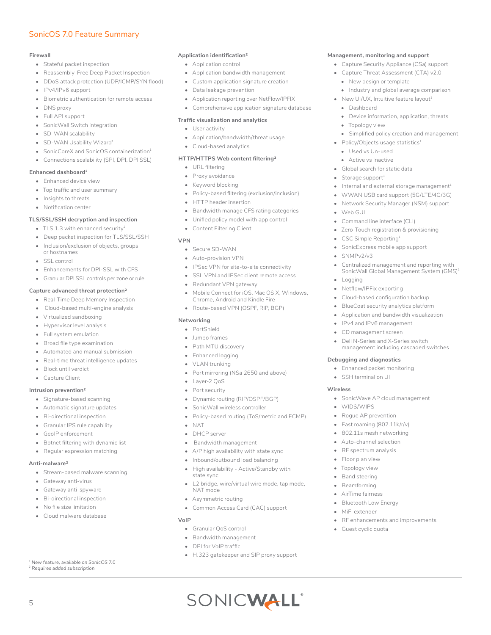## SonicOS 7.0 Feature Summary

#### **Firewall**

- Stateful packet inspection
- Reassembly-Free Deep Packet Inspection
- DDoS attack protection (UDP/ICMP/SYN flood)
- IPv4/IPv6 support
- Biometric authentication for remote access
- DNS proxy
- Full API support
- SonicWall Switch integration
- SD-WAN scalability
- SD-WAN Usability Wizard<sup>1</sup>
- SonicCoreX and SonicOS containerization<sup>1</sup>
- Connections scalability (SPI, DPI, DPI SSL)

#### **Enhanced dashboard1**

- Enhanced device view
- Top traffic and user summary
- Insights to threats
- Notification center

#### **TLS/SSL/SSH decryption and inspection**

- TLS 1.3 with enhanced security<sup>1</sup>
- Deep packet inspection for TLS/SSL/SSH
- Inclusion/exclusion of objects, groups
- or hostnames • SSL control
- Enhancements for DPI-SSL with CFS
- Granular DPI SSL controls per zone or rule

#### **Capture advanced threat protection2**

- Real-Time Deep Memory Inspection
- Cloud-based multi-engine analysis
- Virtualized sandboxing
- Hypervisor level analysis
- Full system emulation
- Broad file type examination
- Automated and manual submission
- Real-time threat intelligence updates
- Block until verdict
- Capture Client

#### **Intrusion prevention2**

- Signature-based scanning
- Automatic signature updates
- Bi-directional inspection
- Granular IPS rule capability
- GeoIP enforcement
- Botnet filtering with dynamic list
- Regular expression matching

#### **Anti-malware2**

5

- Stream-based malware scanning
- Gateway anti-virus
- Gateway anti-spyware
- Bi-directional inspection
- No file size limitation
- Cloud malware database

*1 New feature, available on SonicOS 7.0 2 Requires added subscription*

#### **Application identification2**

- Application control
- Application bandwidth management
- Custom application signature creation
- Data leakage prevention
- Application reporting over NetFlow/IPFIX
- Comprehensive application signature database

**Management, monitoring and support**  • Capture Security Appliance (CS*a*) support • Capture Threat Assessment (CTA) v2.0 • New design or template

• Dashboard

• Web GUI

• SNMPv2/v3

• Logging

• Topology view

• Policy/Objects usage statistics $1$ • Used vs Un-used • Active vs Inactive • Global search for static data Storage support<sup>1</sup>

Command line interface (CLI) • Zero-Touch registration & provisioning

• CSC Simple Reporting1 • SonicExpress mobile app support

• Netflow/IPFix exporting

**Debugging and diagnostics** • Enhanced packet monitoring • SSH terminal on UI

• WIDS/WIPS • Rogue AP prevention • Fast roaming (802.11k/r/v) • 802.11s mesh networking Auto-channel selection RF spectrum analysis • Floor plan view • Topology view • Band steering • Beamforming • AirTime fairness • Bluetooth Low Energy • MiFi extender

**Wireless**

• Cloud-based configuration backup • BlueCoat security analytics platform • Application and bandwidth visualization • IPv4 and IPv6 management • CD management screen

Dell N-Series and X-Series switch management including cascaded switches

• SonicWave AP cloud management

• RF enhancements and improvements

Guest cyclic quota

• Industry and global average comparison • New UI/UX, Intuitive feature layout $1$ 

• Device information, application, threats

• Simplified policy creation and management

Internal and external storage management $^1$ • WWAN USB card support (5G/LTE/4G/3G) • Network Security Manager (NSM) support

• Centralized management and reporting with SonicWall Global Management System (GMS)<sup>2</sup>

#### **Traffic visualization and analytics**

- User activity
- Application/bandwidth/threat usage
- Cloud-based analytics

#### **HTTP/HTTPS Web content filtering2**

- URL filtering
- Proxy avoidance
- Keyword blocking
- Policy-based filtering (exclusion/inclusion)
- HTTP header insertion
- Bandwidth manage CFS rating categories
- Unified policy model with app control
- Content Filtering Client

#### **VPN**

- Secure SD-WAN
- Auto-provision VPN
- IPSec VPN for site-to-site connectivity
- SSL VPN and IPSec client remote access
- Redundant VPN gateway
- Mobile Connect for iOS, Mac OS X, Windows, Chrome, Android and Kindle Fire
- Route-based VPN (OSPF, RIP, BGP)

#### **Networking**

- PortShield
- Jumbo frames
- Path MTU discovery
- Enhanced logging
- VLAN trunking
- Port mirroring (NS*a* 2650 and above)
- Layer-2 QoS
- Port security
- Dynamic routing (RIP/OSPF/BGP)
- SonicWall wireless controller
- Policy-based routing (ToS/metric and ECMP)
- NAT

**VoIP** 

- DHCP server
- Bandwidth management

Asymmetric routing

• Granular QoS control • Bandwidth management • DPI for VoIP traffic

- A/P high availability with state sync
- Inbound/outbound load balancing
- High availability Active/Standby with state sync
- L2 bridge, wire/virtual wire mode, tap mode, NAT mode

• H.323 gatekeeper and SIP proxy support

SONICWALL®

• Common Access Card (CAC) support